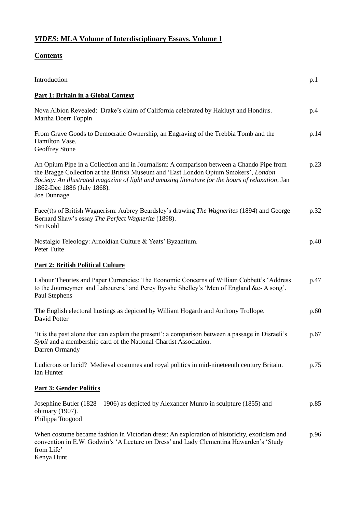## *VIDES***: MLA Volume of Interdisciplinary Essays. Volume 1**

## **Contents**

| Introduction                                                                                                                                                                                                                                                                                                                      | p.1  |
|-----------------------------------------------------------------------------------------------------------------------------------------------------------------------------------------------------------------------------------------------------------------------------------------------------------------------------------|------|
| <b>Part 1: Britain in a Global Context</b>                                                                                                                                                                                                                                                                                        |      |
| Nova Albion Revealed: Drake's claim of California celebrated by Hakluyt and Hondius.<br>Martha Doerr Toppin                                                                                                                                                                                                                       | p.4  |
| From Grave Goods to Democratic Ownership, an Engraving of the Trebbia Tomb and the<br>Hamilton Vase.<br>Geoffrey Stone                                                                                                                                                                                                            | p.14 |
| An Opium Pipe in a Collection and in Journalism: A comparison between a Chando Pipe from<br>the Bragge Collection at the British Museum and 'East London Opium Smokers', London<br>Society: An illustrated magazine of light and amusing literature for the hours of relaxation, Jan<br>1862-Dec 1886 (July 1868).<br>Joe Dunnage | p.23 |
| Face(t)s of British Wagnerism: Aubrey Beardsley's drawing The Wagnerites (1894) and George<br>Bernard Shaw's essay The Perfect Wagnerite (1898).<br>Siri Kohl                                                                                                                                                                     | p.32 |
| Nostalgic Teleology: Arnoldian Culture & Yeats' Byzantium.<br>Peter Tuite                                                                                                                                                                                                                                                         | p.40 |
| <b>Part 2: British Political Culture</b>                                                                                                                                                                                                                                                                                          |      |
| Labour Theories and Paper Currencies: The Economic Concerns of William Cobbett's 'Address<br>to the Journeymen and Labourers,' and Percy Bysshe Shelley's 'Men of England &c-A song'.<br>Paul Stephens                                                                                                                            | p.47 |
| The English electoral hustings as depicted by William Hogarth and Anthony Trollope.<br>David Potter                                                                                                                                                                                                                               | p.60 |
| It is the past alone that can explain the present': a comparison between a passage in Disraeli's<br>Sybil and a membership card of the National Chartist Association.<br>Darren Ormandy                                                                                                                                           | p.67 |
| Ludicrous or lucid? Medieval costumes and royal politics in mid-nineteenth century Britain.<br>Ian Hunter                                                                                                                                                                                                                         | p.75 |
| <b>Part 3: Gender Politics</b>                                                                                                                                                                                                                                                                                                    |      |
| Josephine Butler (1828 – 1906) as depicted by Alexander Munro in sculpture (1855) and<br>obituary (1907).<br>Philippa Toogood                                                                                                                                                                                                     | p.85 |
| When costume became fashion in Victorian dress: An exploration of historicity, exoticism and<br>convention in E.W. Godwin's 'A Lecture on Dress' and Lady Clementina Hawarden's 'Study<br>from Life'<br>Kenya Hunt                                                                                                                | p.96 |